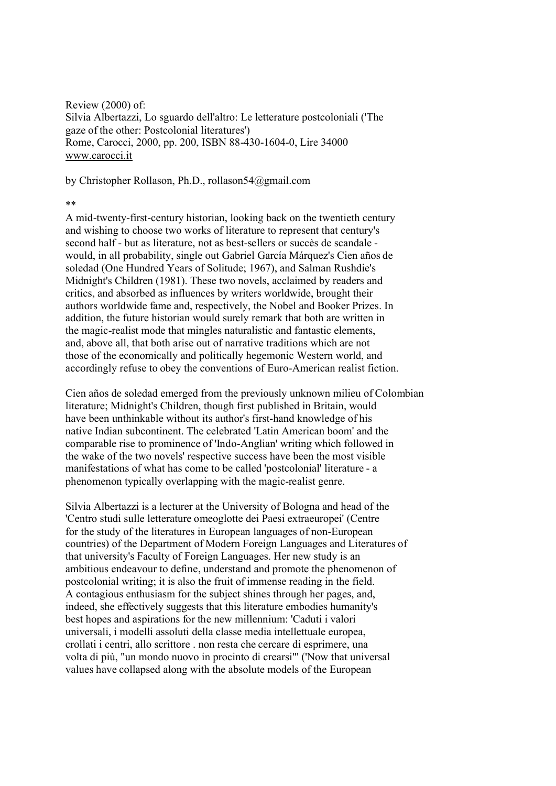Review (2000) of: Silvia Albertazzi, Lo sguardo dell'altro: Le letterature postcoloniali ('The gaze of the other: Postcolonial literatures') Rome, Carocci, 2000, pp. 200, ISBN 88-430-1604-0, Lire 34000 www.carocci.it

[by Christopher R](http://www.carocci.it)ollason, Ph.D., rollason54@gmail.com

## \*\*

A mid-twenty-first-century historian, looking back on the twentieth century and wishing to choose two works of literature to represent that century's second half - but as literature, not as best-sellers or succès de scandale would, in all probability, single out Gabriel García Márquez's Cien años de soledad (One Hundred Years of Solitude; 1967), and Salman Rushdie's Midnight's Children (1981). These two novels, acclaimed by readers and critics, and absorbed as influences by writers worldwide, brought their authors worldwide fame and, respectively, the Nobel and Booker Prizes. In addition, the future historian would surely remark that both are written in the magic-realist mode that mingles naturalistic and fantastic elements, and, above all, that both arise out of narrative traditions which are not those of the economically and politically hegemonic Western world, and accordingly refuse to obey the conventions of Euro-American realist fiction.

Cien años de soledad emerged from the previously unknown milieu of Colombian literature; Midnight's Children, though first published in Britain, would have been unthinkable without its author's first-hand knowledge of his native Indian subcontinent. The celebrated 'Latin American boom' and the comparable rise to prominence of 'Indo-Anglian' writing which followed in the wake of the two novels' respective success have been the most visible manifestations of what has come to be called 'postcolonial' literature - a phenomenon typically overlapping with the magic-realist genre.

Silvia Albertazzi is a lecturer at the University of Bologna and head of the 'Centro studi sulle letterature omeoglotte dei Paesi extraeuropei' (Centre for the study of the literatures in European languages of non-European countries) of the Department of Modern Foreign Languages and Literatures of that university's Faculty of Foreign Languages. Her new study is an ambitious endeavour to define, understand and promote the phenomenon of postcolonial writing; it is also the fruit of immense reading in the field. A contagious enthusiasm for the subject shines through her pages, and, indeed, she effectively suggests that this literature embodies humanity's best hopes and aspirations for the new millennium: 'Caduti i valori universali, i modelli assoluti della classe media intellettuale europea, crollati i centri, allo scrittore . non resta che cercare di esprimere, una volta di più, "un mondo nuovo in procinto di crearsi"' ('Now that universal values have collapsed along with the absolute models of the European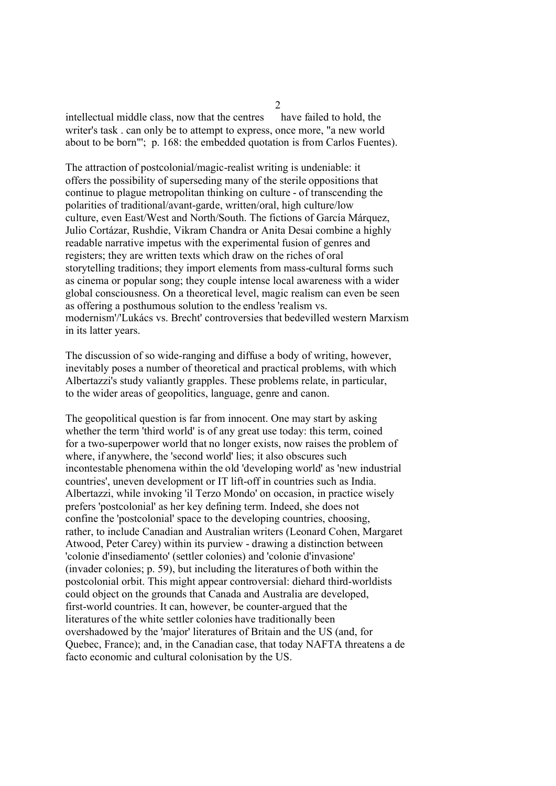intellectual middle class, now that the centres have failed to hold, the writer's task . can only be to attempt to express, once more, "a new world about to be born"'; p. 168: the embedded quotation is from Carlos Fuentes).

The attraction of postcolonial/magic-realist writing is undeniable: it offers the possibility of superseding many of the sterile oppositions that continue to plague metropolitan thinking on culture - of transcending the polarities of traditional/avant-garde, written/oral, high culture/low culture, even East/West and North/South. The fictions of García Márquez, Julio Cortázar, Rushdie, Vikram Chandra or Anita Desai combine a highly readable narrative impetus with the experimental fusion of genres and registers; they are written texts which draw on the riches of oral storytelling traditions; they import elements from mass-cultural forms such as cinema or popular song; they couple intense local awareness with a wider global consciousness. On a theoretical level, magic realism can even be seen as offering a posthumous solution to the endless 'realism vs. modernism'/'Lukács vs. Brecht' controversies that bedevilled western Marxism in its latter years.

The discussion of so wide-ranging and diffuse a body of writing, however, inevitably poses a number of theoretical and practical problems, with which Albertazzi's study valiantly grapples. These problems relate, in particular, to the wider areas of geopolitics, language, genre and canon.

The geopolitical question is far from innocent. One may start by asking whether the term 'third world' is of any great use today: this term, coined for a two-superpower world that no longer exists, now raises the problem of where, if anywhere, the 'second world' lies; it also obscures such incontestable phenomena within the old 'developing world' as 'new industrial countries', uneven development or IT lift-off in countries such as India. Albertazzi, while invoking 'il Terzo Mondo' on occasion, in practice wisely prefers 'postcolonial' as her key defining term. Indeed, she does not confine the 'postcolonial' space to the developing countries, choosing, rather, to include Canadian and Australian writers (Leonard Cohen, Margaret Atwood, Peter Carey) within its purview - drawing a distinction between 'colonie d'insediamento' (settler colonies) and 'colonie d'invasione' (invader colonies; p. 59), but including the literatures of both within the postcolonial orbit. This might appear controversial: diehard third-worldists could object on the grounds that Canada and Australia are developed, first-world countries. It can, however, be counter-argued that the literatures of the white settler colonies have traditionally been overshadowed by the 'major' literatures of Britain and the US (and, for Quebec, France); and, in the Canadian case, that today NAFTA threatens a de facto economic and cultural colonisation by the US.

 $\mathcal{L}$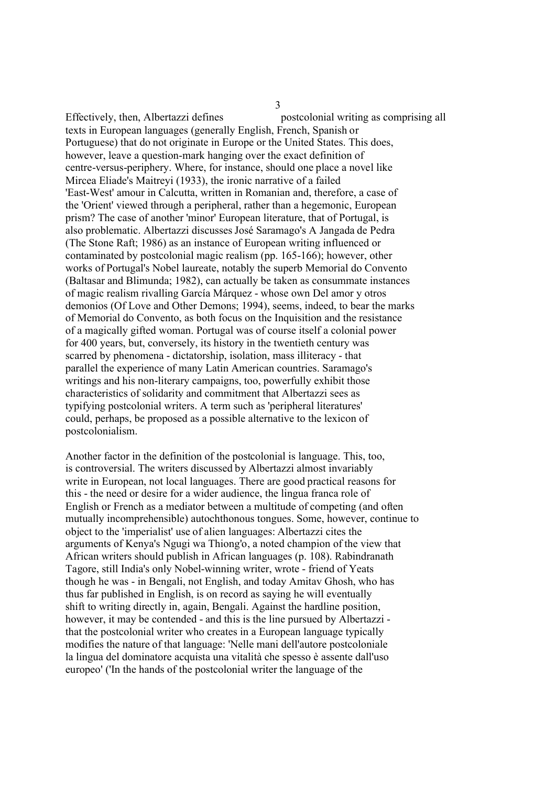Effectively, then, Albertazzi defines postcolonial writing as comprising all texts in European languages (generally English, French, Spanish or Portuguese) that do not originate in Europe or the United States. This does, however, leave a question-mark hanging over the exact definition of centre-versus-periphery. Where, for instance, should one place a novel like Mircea Eliade's Maitreyi (1933), the ironic narrative of a failed 'East-West' amour in Calcutta, written in Romanian and, therefore, a case of the 'Orient' viewed through a peripheral, rather than a hegemonic, European prism? The case of another 'minor' European literature, that of Portugal, is also problematic. Albertazzi discusses José Saramago's A Jangada de Pedra (The Stone Raft; 1986) as an instance of European writing influenced or contaminated by postcolonial magic realism (pp. 165-166); however, other works of Portugal's Nobel laureate, notably the superb Memorial do Convento (Baltasar and Blimunda; 1982), can actually be taken as consummate instances of magic realism rivalling García Márquez - whose own Del amor y otros demonios (Of Love and Other Demons; 1994), seems, indeed, to bear the marks of Memorial do Convento, as both focus on the Inquisition and the resistance of a magically gifted woman. Portugal was of course itself a colonial power for 400 years, but, conversely, its history in the twentieth century was scarred by phenomena - dictatorship, isolation, mass illiteracy - that parallel the experience of many Latin American countries. Saramago's writings and his non-literary campaigns, too, powerfully exhibit those characteristics of solidarity and commitment that Albertazzi sees as typifying postcolonial writers. A term such as 'peripheral literatures' could, perhaps, be proposed as a possible alternative to the lexicon of postcolonialism.

Another factor in the definition of the postcolonial is language. This, too, is controversial. The writers discussed by Albertazzi almost invariably write in European, not local languages. There are good practical reasons for this - the need or desire for a wider audience, the lingua franca role of English or French as a mediator between a multitude of competing (and often mutually incomprehensible) autochthonous tongues. Some, however, continue to object to the 'imperialist' use of alien languages: Albertazzi cites the arguments of Kenya's Ngugi wa Thiong'o, a noted champion of the view that African writers should publish in African languages (p. 108). Rabindranath Tagore, still India's only Nobel-winning writer, wrote - friend of Yeats though he was - in Bengali, not English, and today Amitav Ghosh, who has thus far published in English, is on record as saying he will eventually shift to writing directly in, again, Bengali. Against the hardline position, however, it may be contended - and this is the line pursued by Albertazzi that the postcolonial writer who creates in a European language typically modifies the nature of that language: 'Nelle mani dell'autore postcoloniale la lingua del dominatore acquista una vitalità che spesso è assente dall'uso europeo' ('In the hands of the postcolonial writer the language of the

3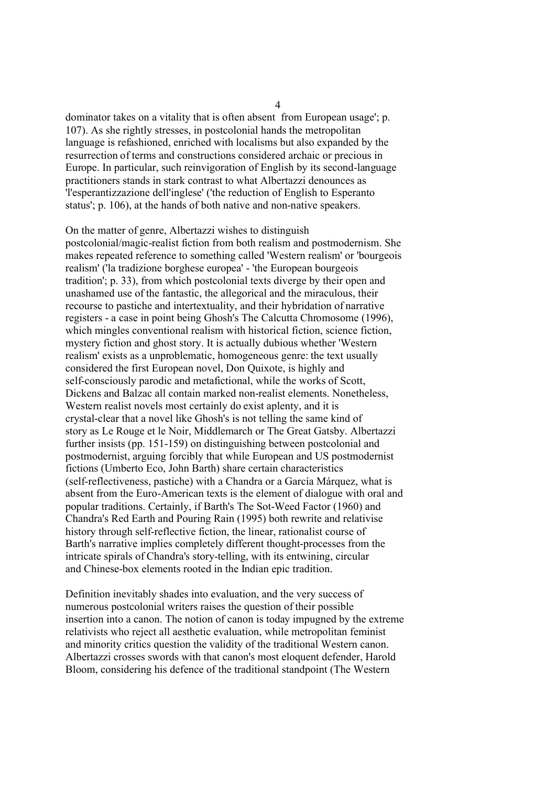dominator takes on a vitality that is often absent from European usage'; p. 107). As she rightly stresses, in postcolonial hands the metropolitan language is refashioned, enriched with localisms but also expanded by the resurrection of terms and constructions considered archaic or precious in Europe. In particular, such reinvigoration of English by its second-language practitioners stands in stark contrast to what Albertazzi denounces as 'l'esperantizzazione dell'inglese' ('the reduction of English to Esperanto status'; p. 106), at the hands of both native and non-native speakers.

On the matter of genre, Albertazzi wishes to distinguish postcolonial/magic-realist fiction from both realism and postmodernism. She makes repeated reference to something called 'Western realism' or 'bourgeois realism' ('la tradizione borghese europea' - 'the European bourgeois tradition'; p. 33), from which postcolonial texts diverge by their open and unashamed use of the fantastic, the allegorical and the miraculous, their recourse to pastiche and intertextuality, and their hybridation of narrative registers - a case in point being Ghosh's The Calcutta Chromosome (1996), which mingles conventional realism with historical fiction, science fiction, mystery fiction and ghost story. It is actually dubious whether 'Western realism' exists as a unproblematic, homogeneous genre: the text usually considered the first European novel, Don Quixote, is highly and self-consciously parodic and metafictional, while the works of Scott, Dickens and Balzac all contain marked non-realist elements. Nonetheless, Western realist novels most certainly do exist aplenty, and it is crystal-clear that a novel like Ghosh's is not telling the same kind of story as Le Rouge et le Noir, Middlemarch or The Great Gatsby. Albertazzi further insists (pp. 151-159) on distinguishing between postcolonial and postmodernist, arguing forcibly that while European and US postmodernist fictions (Umberto Eco, John Barth) share certain characteristics (self-reflectiveness, pastiche) with a Chandra or a García Márquez, what is absent from the Euro-American texts is the element of dialogue with oral and popular traditions. Certainly, if Barth's The Sot-Weed Factor (1960) and Chandra's Red Earth and Pouring Rain (1995) both rewrite and relativise history through self-reflective fiction, the linear, rationalist course of Barth's narrative implies completely different thought-processes from the intricate spirals of Chandra's story-telling, with its entwining, circular and Chinese-box elements rooted in the Indian epic tradition.

Definition inevitably shades into evaluation, and the very success of numerous postcolonial writers raises the question of their possible insertion into a canon. The notion of canon is today impugned by the extreme relativists who reject all aesthetic evaluation, while metropolitan feminist and minority critics question the validity of the traditional Western canon. Albertazzi crosses swords with that canon's most eloquent defender, Harold Bloom, considering his defence of the traditional standpoint (The Western

4